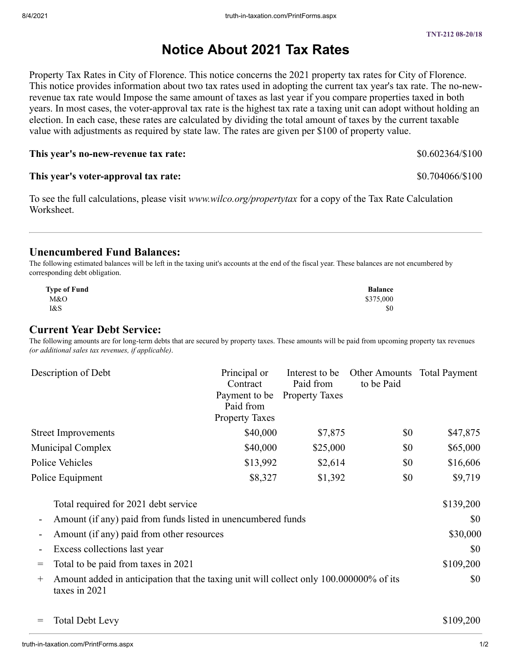# **Notice About 2021 Tax Rates**

Property Tax Rates in City of Florence. This notice concerns the 2021 property tax rates for City of Florence. This notice provides information about two tax rates used in adopting the current tax year's tax rate. The no-newrevenue tax rate would Impose the same amount of taxes as last year if you compare properties taxed in both years. In most cases, the voter-approval tax rate is the highest tax rate a taxing unit can adopt without holding an election. In each case, these rates are calculated by dividing the total amount of taxes by the current taxable value with adjustments as required by state law. The rates are given per \$100 of property value.

### **This year's no-new-revenue tax rate:**

### **This year's voter-approval tax rate:**

To see the full calculations, please visit *www.wilco.org/propertytax* for a copy of the Tax Rate Calculation Worksheet.

# **Unencumbered Fund Balances:**

The following estimated balances will be left in the taxing unit's accounts at the end of the fiscal year. These balances are not encumbered by corresponding debt obligation.

| <b>Type of Fund</b> | <b>Balance</b> |
|---------------------|----------------|
| M&O                 | \$375,000      |
| I&S                 | \$0            |

## **Current Year Debt Service:**

The following amounts are for long-term debts that are secured by property taxes. These amounts will be paid from upcoming property tax revenues *(or additional sales tax revenues, if applicable)*.

|                                                              | Description of Debt                                                                                     | Principal or<br>Contract<br>Payment to be<br>Paid from<br><b>Property Taxes</b> | Interest to be<br>Paid from<br><b>Property Taxes</b> | Other Amounts Total Payment<br>to be Paid |           |  |
|--------------------------------------------------------------|---------------------------------------------------------------------------------------------------------|---------------------------------------------------------------------------------|------------------------------------------------------|-------------------------------------------|-----------|--|
|                                                              | <b>Street Improvements</b>                                                                              | \$40,000                                                                        | \$7,875                                              | \$0                                       | \$47,875  |  |
| Municipal Complex                                            |                                                                                                         | \$40,000                                                                        | \$25,000                                             | \$0                                       | \$65,000  |  |
| Police Vehicles                                              |                                                                                                         | \$13,992                                                                        | \$2,614                                              | \$0                                       | \$16,606  |  |
|                                                              | Police Equipment                                                                                        | \$8,327                                                                         | \$1,392                                              | \$0                                       | \$9,719   |  |
|                                                              | Total required for 2021 debt service                                                                    |                                                                                 |                                                      |                                           | \$139,200 |  |
| Amount (if any) paid from funds listed in unencumbered funds |                                                                                                         |                                                                                 |                                                      |                                           |           |  |
|                                                              | Amount (if any) paid from other resources                                                               |                                                                                 |                                                      |                                           |           |  |
|                                                              | Excess collections last year                                                                            |                                                                                 |                                                      |                                           |           |  |
| $=$                                                          | Total to be paid from taxes in 2021                                                                     |                                                                                 |                                                      |                                           |           |  |
| $^{+}$                                                       | Amount added in anticipation that the taxing unit will collect only 100.000000% of its<br>taxes in 2021 |                                                                                 |                                                      |                                           |           |  |

= Total Debt Levy \$109,200

\$0.602364/\$100

\$0.704066/\$100